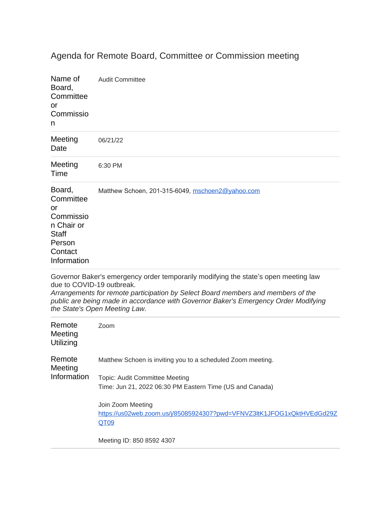## Agenda for Remote Board, Committee or Commission meeting

| Name of<br>Board,<br>Committee<br>or<br>Commissio<br>n                                                   | <b>Audit Committee</b>                           |
|----------------------------------------------------------------------------------------------------------|--------------------------------------------------|
| Meeting<br>Date                                                                                          | 06/21/22                                         |
| Meeting<br>Time                                                                                          | 6:30 PM                                          |
| Board,<br>Committee<br>or<br>Commissio<br>n Chair or<br><b>Staff</b><br>Person<br>Contact<br>Information | Matthew Schoen, 201-315-6049, mschoen2@yahoo.com |

[Governor Baker's emergency order temporarily modifying the state](mailto:mschoen2@yahoo.com)'s open meeting law [due to COVID-19 outbreak.](mailto:mschoen2@yahoo.com)

*[Arrangements for remote participation by Select Board members and members of the](mailto:mschoen2@yahoo.com)  [public are being made in accordance with Governor Baker's Emergency Order Modifying](mailto:mschoen2@yahoo.com)  [the State's Open Meeting Law.](mailto:mschoen2@yahoo.com)*

| Remote<br>Meeting<br>Utilizing   | Zoom                                                                                                |
|----------------------------------|-----------------------------------------------------------------------------------------------------|
| Remote<br>Meeting<br>Information | Matthew Schoen is inviting you to a scheduled Zoom meeting.                                         |
|                                  | Topic: Audit Committee Meeting                                                                      |
|                                  | Time: Jun 21, 2022 06:30 PM Eastern Time (US and Canada)                                            |
|                                  | Join Zoom Meeting<br>https://us02web.zoom.us/j/85085924307?pwd=VFNVZ3ltK1JFOG1xQktHVEdGd29Z<br>QT09 |
|                                  | Meeting ID: 850 8592 4307                                                                           |